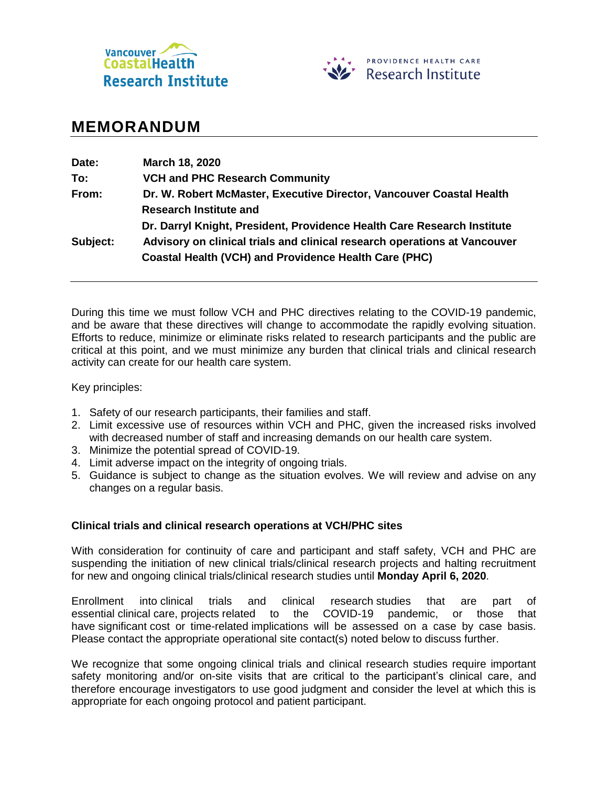



# **MEMORANDUM**

| Date:    | March 18, 2020                                                            |
|----------|---------------------------------------------------------------------------|
| To:      | <b>VCH and PHC Research Community</b>                                     |
| From:    | Dr. W. Robert McMaster, Executive Director, Vancouver Coastal Health      |
|          | <b>Research Institute and</b>                                             |
|          | Dr. Darryl Knight, President, Providence Health Care Research Institute   |
| Subject: | Advisory on clinical trials and clinical research operations at Vancouver |
|          | <b>Coastal Health (VCH) and Providence Health Care (PHC)</b>              |

During this time we must follow VCH and PHC directives relating to the COVID-19 pandemic, and be aware that these directives will change to accommodate the rapidly evolving situation. Efforts to reduce, minimize or eliminate risks related to research participants and the public are critical at this point, and we must minimize any burden that clinical trials and clinical research activity can create for our health care system.

Key principles:

- 1. Safety of our research participants, their families and staff.
- 2. Limit excessive use of resources within VCH and PHC, given the increased risks involved with decreased number of staff and increasing demands on our health care system.
- 3. Minimize the potential spread of COVID-19.
- 4. Limit adverse impact on the integrity of ongoing trials.
- 5. Guidance is subject to change as the situation evolves. We will review and advise on any changes on a regular basis.

## **Clinical trials and clinical research operations at VCH/PHC sites**

With consideration for continuity of care and participant and staff safety, VCH and PHC are suspending the initiation of new clinical trials/clinical research projects and halting recruitment for new and ongoing clinical trials/clinical research studies until **Monday April 6, 2020**.

Enrollment into clinical trials and clinical research studies that are part of essential clinical care, projects related to the COVID-19 pandemic, or those that have significant cost or time-related implications will be assessed on a case by case basis. Please contact the appropriate operational site contact(s) noted below to discuss further.

We recognize that some ongoing clinical trials and clinical research studies require important safety monitoring and/or on-site visits that are critical to the participant's clinical care, and therefore encourage investigators to use good judgment and consider the level at which this is appropriate for each ongoing protocol and patient participant.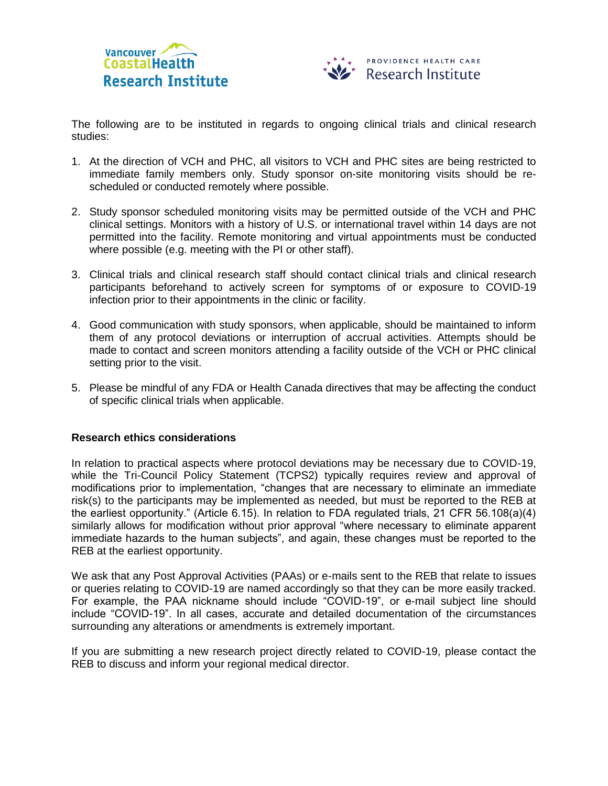



The following are to be instituted in regards to ongoing clinical trials and clinical research studies:

- 1. At the direction of VCH and PHC, all visitors to VCH and PHC sites are being restricted to immediate family members only. Study sponsor on-site monitoring visits should be rescheduled or conducted remotely where possible.
- 2. Study sponsor scheduled monitoring visits may be permitted outside of the VCH and PHC clinical settings. Monitors with a history of U.S. or international travel within 14 days are not permitted into the facility. Remote monitoring and virtual appointments must be conducted where possible (e.g. meeting with the PI or other staff).
- 3. Clinical trials and clinical research staff should contact clinical trials and clinical research participants beforehand to actively screen for symptoms of or exposure to COVID-19 infection prior to their appointments in the clinic or facility.
- 4. Good communication with study sponsors, when applicable, should be maintained to inform them of any protocol deviations or interruption of accrual activities. Attempts should be made to contact and screen monitors attending a facility outside of the VCH or PHC clinical setting prior to the visit.
- 5. Please be mindful of any FDA or Health Canada directives that may be affecting the conduct of specific clinical trials when applicable.

## **Research ethics considerations**

In relation to practical aspects where protocol deviations may be necessary due to COVID-19, while the Tri-Council Policy Statement (TCPS2) typically requires review and approval of modifications prior to implementation, "changes that are necessary to eliminate an immediate risk(s) to the participants may be implemented as needed, but must be reported to the REB at the earliest opportunity." (Article 6.15). In relation to FDA regulated trials, 21 CFR 56.108(a)(4) similarly allows for modification without prior approval "where necessary to eliminate apparent immediate hazards to the human subjects", and again, these changes must be reported to the REB at the earliest opportunity.

We ask that any Post Approval Activities (PAAs) or e-mails sent to the REB that relate to issues or queries relating to COVID-19 are named accordingly so that they can be more easily tracked. For example, the PAA nickname should include "COVID-19", or e-mail subject line should include "COVID-19". In all cases, accurate and detailed documentation of the circumstances surrounding any alterations or amendments is extremely important.

If you are submitting a new research project directly related to COVID-19, please contact the REB to discuss and inform your regional medical director.